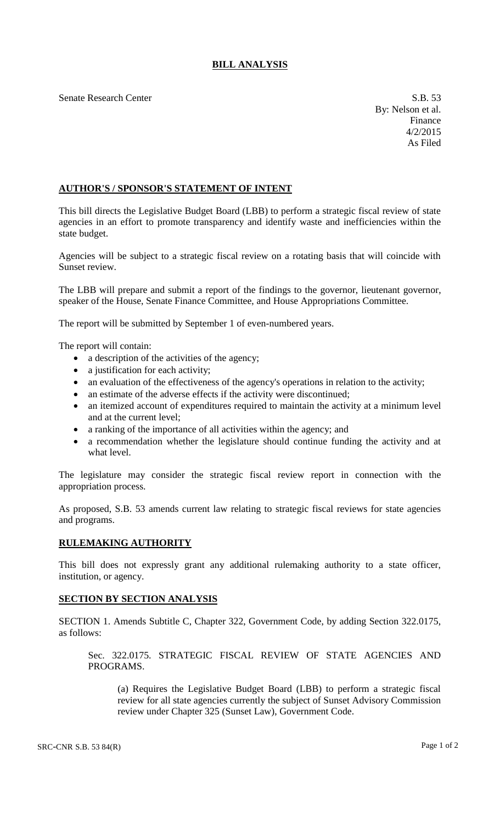## **BILL ANALYSIS**

Senate Research Center S.B. 53

## **AUTHOR'S / SPONSOR'S STATEMENT OF INTENT**

This bill directs the Legislative Budget Board (LBB) to perform a strategic fiscal review of state agencies in an effort to promote transparency and identify waste and inefficiencies within the state budget.

Agencies will be subject to a strategic fiscal review on a rotating basis that will coincide with Sunset review.

The LBB will prepare and submit a report of the findings to the governor, lieutenant governor, speaker of the House, Senate Finance Committee, and House Appropriations Committee.

The report will be submitted by September 1 of even-numbered years.

The report will contain:

- a description of the activities of the agency;
- a justification for each activity;
- an evaluation of the effectiveness of the agency's operations in relation to the activity;
- an estimate of the adverse effects if the activity were discontinued;
- an itemized account of expenditures required to maintain the activity at a minimum level and at the current level;
- a ranking of the importance of all activities within the agency; and
- a recommendation whether the legislature should continue funding the activity and at what level.

The legislature may consider the strategic fiscal review report in connection with the appropriation process.

As proposed, S.B. 53 amends current law relating to strategic fiscal reviews for state agencies and programs.

## **RULEMAKING AUTHORITY**

This bill does not expressly grant any additional rulemaking authority to a state officer, institution, or agency.

## **SECTION BY SECTION ANALYSIS**

SECTION 1. Amends Subtitle C, Chapter 322, Government Code, by adding Section 322.0175, as follows:

Sec. 322.0175. STRATEGIC FISCAL REVIEW OF STATE AGENCIES AND PROGRAMS.

(a) Requires the Legislative Budget Board (LBB) to perform a strategic fiscal review for all state agencies currently the subject of Sunset Advisory Commission review under Chapter 325 (Sunset Law), Government Code.